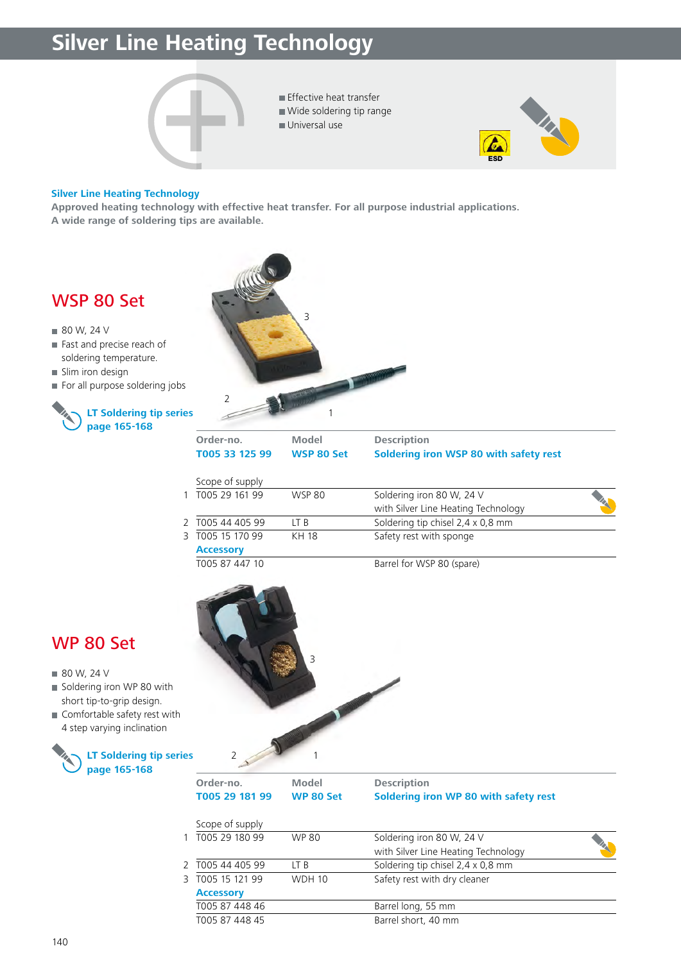## **Silver Line Heating Technology**





#### **Silver Line Heating Technology**

**Approved heating technology with effective heat transfer. For all purpose industrial applications. A wide range of soldering tips are available.** 

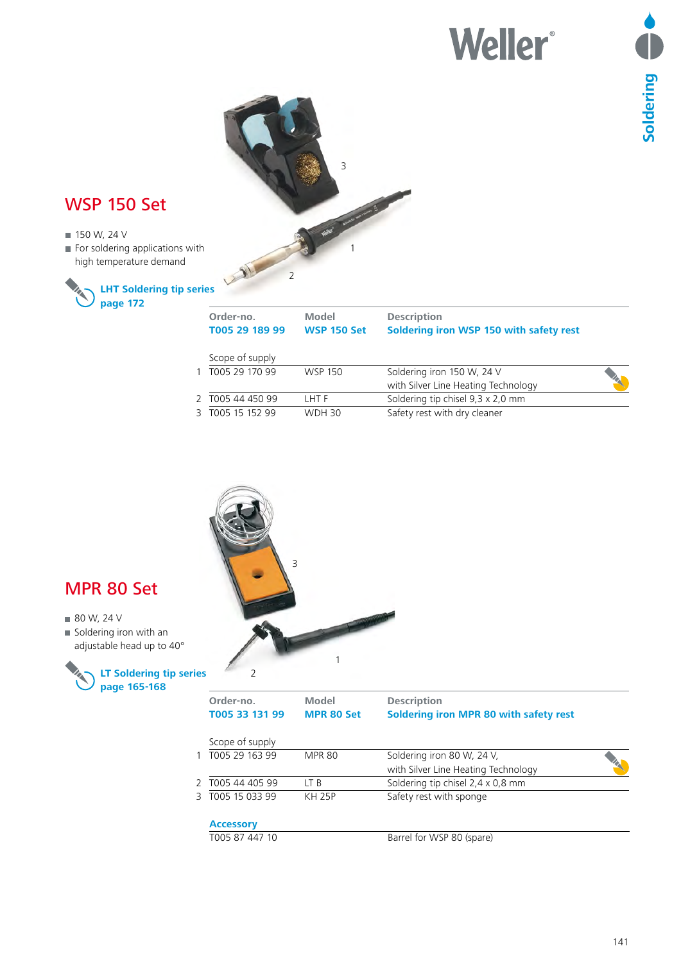# **Weller®**



| Scope of supply  |                |                                     |    |
|------------------|----------------|-------------------------------------|----|
| 1 T005 29 170 99 | <b>WSP 150</b> | Soldering iron 150 W, 24 V          |    |
|                  |                | with Silver Line Heating Technology | XX |
| 2 T005 44 450 99 | THT F          | Soldering tip chisel 9,3 x 2,0 mm   |    |
| 3 T005 15 152 99 | <b>WDH 30</b>  | Safety rest with dry cleaner        |    |
|                  |                |                                     |    |



#### MPR 80 Set

- 80 W, 24 V
- Soldering iron with an adjustable head up to 40°



| Order-no.<br>T005 33 131 99 | Model<br><b>MPR 80 Set</b> | <b>Description</b><br>Soldering iron MPR 80 with safety rest |  |
|-----------------------------|----------------------------|--------------------------------------------------------------|--|
| Scope of supply             |                            |                                                              |  |
| 1 T005 29 163 99            | <b>MPR 80</b>              | Soldering iron 80 W, 24 V,                                   |  |
|                             |                            | with Silver Line Heating Technology                          |  |
| 2 T005 44 405 99            | LT B                       | Soldering tip chisel 2,4 x 0,8 mm                            |  |
| 3 T005 15 033 99            | <b>KH 25P</b>              | Safety rest with sponge                                      |  |
| <b>Accessory</b>            |                            |                                                              |  |
|                             |                            |                                                              |  |

T005 87 447 10 Barrel for WSP 80 (spare)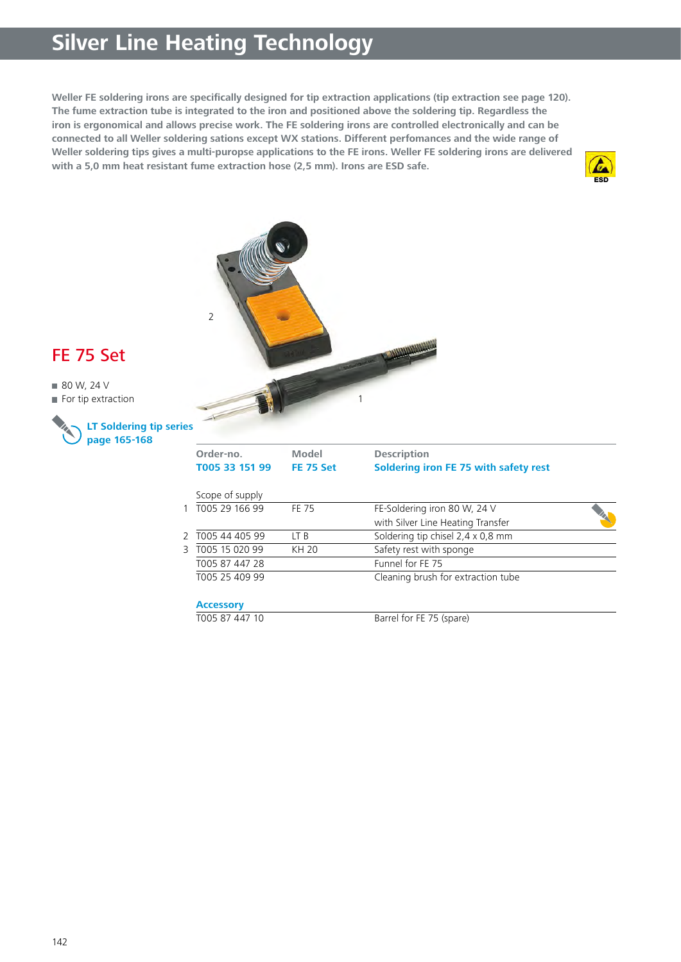## **Silver Line Heating Technology**

Weller FE soldering irons are specifically designed for tip extraction applications (tip extraction see page 120). **The fume extraction tube is integrated to the iron and positioned above the soldering tip. Regardless the iron is ergonomical and allows precise work. The FE soldering irons are controlled electronically and can be connected to all Weller soldering sations except WX stations. Different perfomances and the wide range of Weller soldering tips gives a multi-puropse applications to the FE irons. Weller FE soldering irons are delivered with a 5,0 mm heat resistant fume extraction hose (2,5 mm). Irons are ESD safe.**





### FE 75 Set

■ 80 W, 24 V For tip extraction



| Order-no.<br>T005 33 151 99 | Model<br><b>FE 75 Set</b> | <b>Description</b><br>Soldering iron FE 75 with safety rest |  |
|-----------------------------|---------------------------|-------------------------------------------------------------|--|
| Scope of supply             |                           |                                                             |  |
| 1 T005 29 166 99            | FF 75                     | FE-Soldering iron 80 W, 24 V                                |  |
|                             |                           | with Silver Line Heating Transfer                           |  |
| 2 T005 44 405 99            | LT B                      | Soldering tip chisel 2,4 x 0,8 mm                           |  |
| 3 T005 15 020 99            | KH 20                     | Safety rest with sponge                                     |  |
| T005 87 447 28              |                           | Funnel for FE 75                                            |  |
| T005 25 409 99              |                           | Cleaning brush for extraction tube                          |  |
| <b>Accessory</b>            |                           |                                                             |  |
| T005 87 447 10              |                           | Barrel for FE 75 (spare)                                    |  |